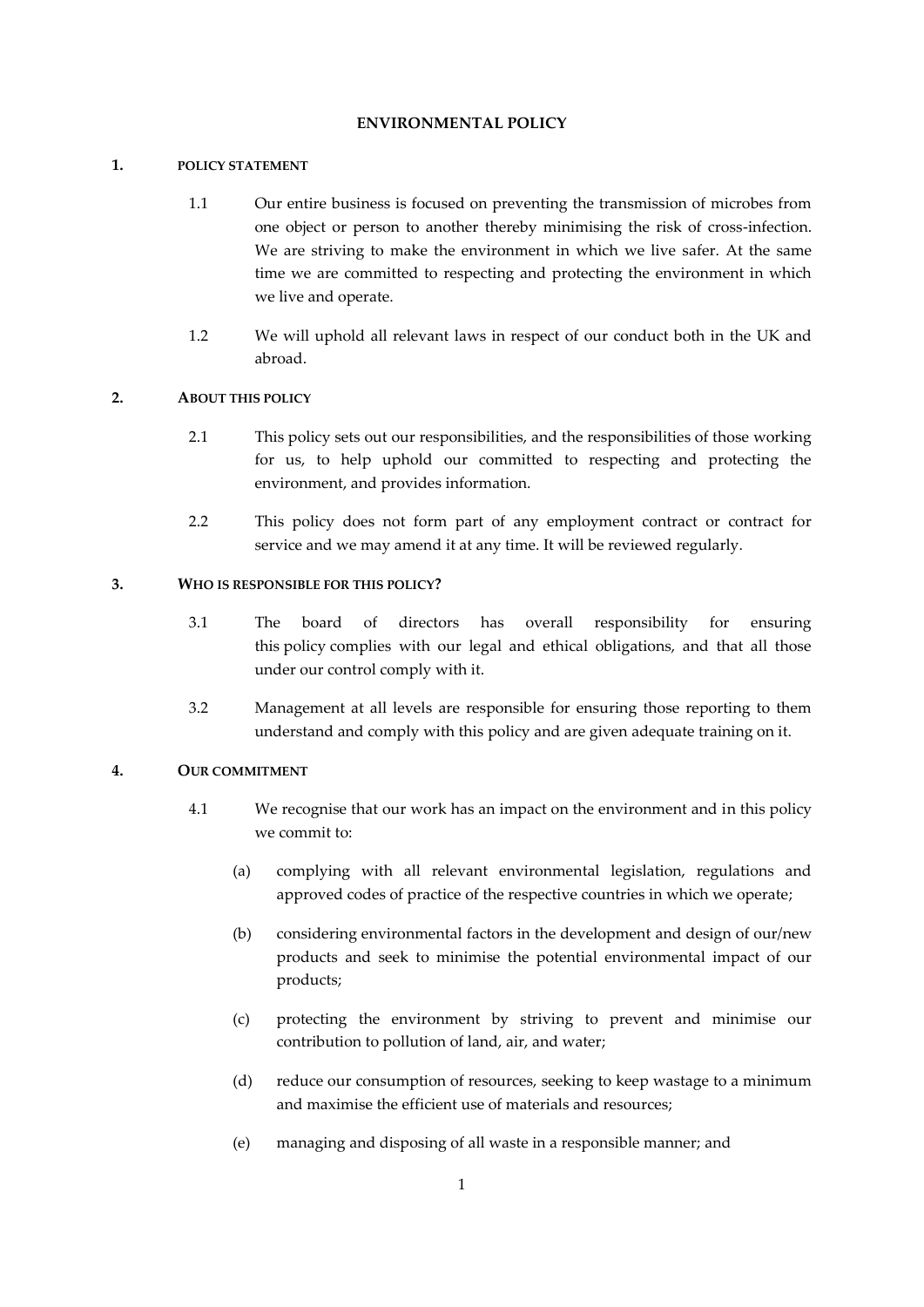#### **ENVIRONMENTAL POLICY**

## **1. POLICY STATEMENT**

- 1.1 Our entire business is focused on preventing the transmission of microbes from one object or person to another thereby minimising the risk of cross-infection. We are striving to make the environment in which we live safer. At the same time we are committed to respecting and protecting the environment in which we live and operate.
- 1.2 We will uphold all relevant laws in respect of our conduct both in the UK and abroad.

# **2. ABOUT THIS POLICY**

- 2.1 This policy sets out our responsibilities, and the responsibilities of those working for us, to help uphold our committed to respecting and protecting the environment, and provides information.
- 2.2 This policy does not form part of any employment contract or contract for service and we may amend it at any time. It will be reviewed regularly.

#### **3. WHO IS RESPONSIBLE FOR THIS POLICY?**

- 3.1 The board of directors has overall responsibility for ensuring this policy complies with our legal and ethical obligations, and that all those under our control comply with it.
- 3.2 Management at all levels are responsible for ensuring those reporting to them understand and comply with this policy and are given adequate training on it.

#### **4. OUR COMMITMENT**

- 4.1 We recognise that our work has an impact on the environment and in this policy we commit to:
	- (a) complying with all relevant environmental legislation, regulations and approved codes of practice of the respective countries in which we operate;
	- (b) considering environmental factors in the development and design of our/new products and seek to minimise the potential environmental impact of our products;
	- (c) protecting the environment by striving to prevent and minimise our contribution to pollution of land, air, and water;
	- (d) reduce our consumption of resources, seeking to keep wastage to a minimum and maximise the efficient use of materials and resources;
	- (e) managing and disposing of all waste in a responsible manner; and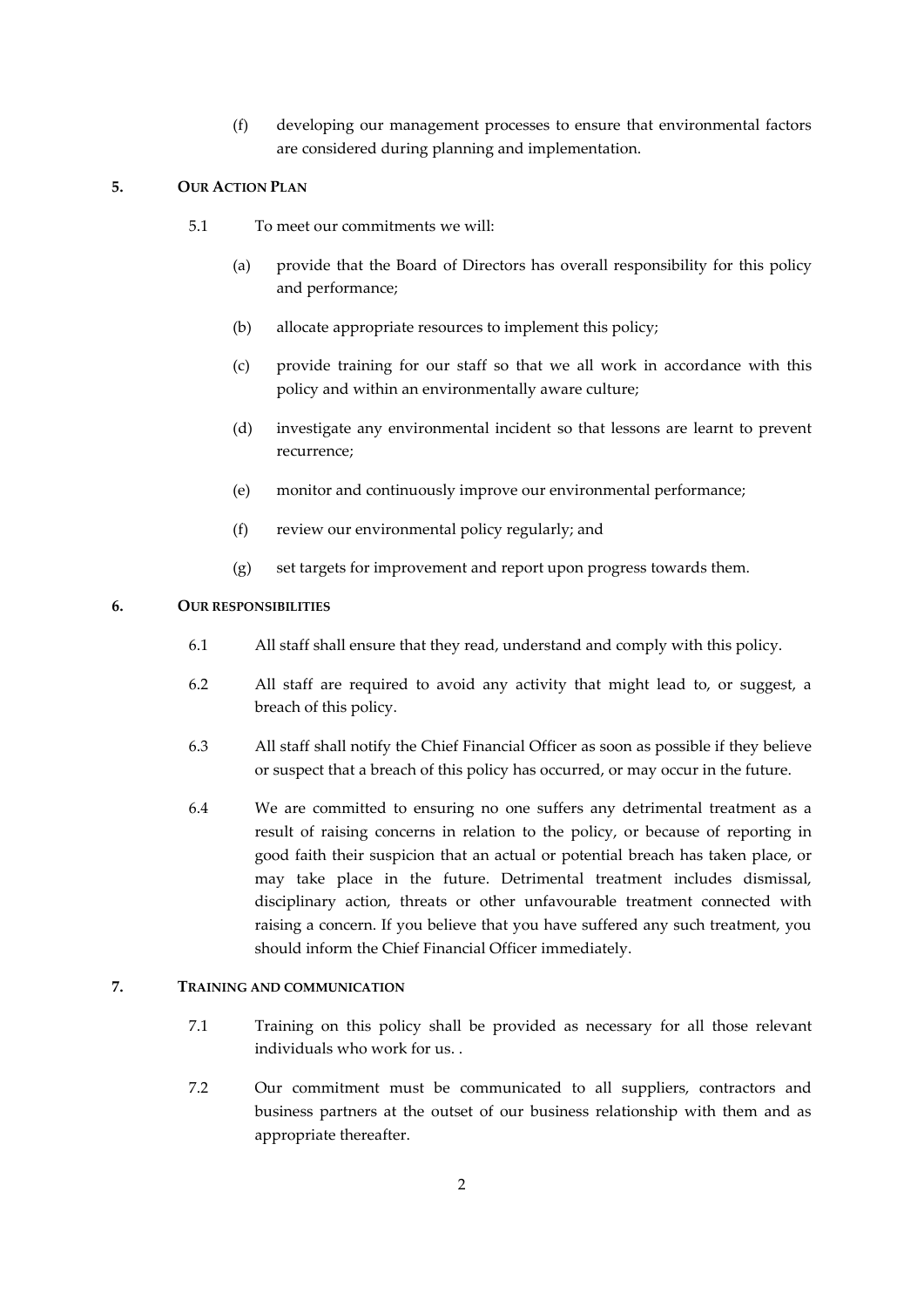(f) developing our management processes to ensure that environmental factors are considered during planning and implementation.

# **5. OUR ACTION PLAN**

- 5.1 To meet our commitments we will:
	- (a) provide that the Board of Directors has overall responsibility for this policy and performance;
	- (b) allocate appropriate resources to implement this policy;
	- (c) provide training for our staff so that we all work in accordance with this policy and within an environmentally aware culture;
	- (d) investigate any environmental incident so that lessons are learnt to prevent recurrence;
	- (e) monitor and continuously improve our environmental performance;
	- (f) review our environmental policy regularly; and
	- (g) set targets for improvement and report upon progress towards them.

# **6. OUR RESPONSIBILITIES**

- 6.1 All staff shall ensure that they read, understand and comply with this policy.
- 6.2 All staff are required to avoid any activity that might lead to, or suggest, a breach of this policy.
- 6.3 All staff shall notify the Chief Financial Officer as soon as possible if they believe or suspect that a breach of this policy has occurred, or may occur in the future.
- 6.4 We are committed to ensuring no one suffers any detrimental treatment as a result of raising concerns in relation to the policy, or because of reporting in good faith their suspicion that an actual or potential breach has taken place, or may take place in the future. Detrimental treatment includes dismissal, disciplinary action, threats or other unfavourable treatment connected with raising a concern. If you believe that you have suffered any such treatment, you should inform the Chief Financial Officer immediately.

### **7. TRAINING AND COMMUNICATION**

- 7.1 Training on this policy shall be provided as necessary for all those relevant individuals who work for us. .
- 7.2 Our commitment must be communicated to all suppliers, contractors and business partners at the outset of our business relationship with them and as appropriate thereafter.